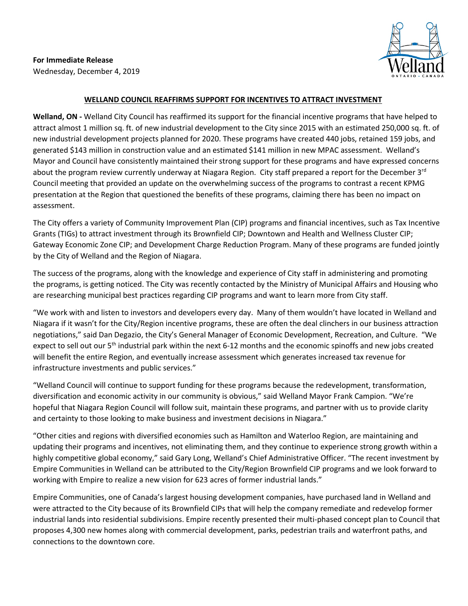**For Immediate Release** Wednesday, December 4, 2019



## **WELLAND COUNCIL REAFFIRMS SUPPORT FOR INCENTIVES TO ATTRACT INVESTMENT**

**Welland, ON -** Welland City Council has reaffirmed its support for the financial incentive programs that have helped to attract almost 1 million sq. ft. of new industrial development to the City since 2015 with an estimated 250,000 sq. ft. of new industrial development projects planned for 2020. These programs have created 440 jobs, retained 159 jobs, and generated \$143 million in construction value and an estimated \$141 million in new MPAC assessment. Welland's Mayor and Council have consistently maintained their strong support for these programs and have expressed concerns about the program review currently underway at Niagara Region. City staff prepared a report for the December 3<sup>rd</sup> Council meeting that provided an update on the overwhelming success of the programs to contrast a recent KPMG presentation at the Region that questioned the benefits of these programs, claiming there has been no impact on assessment.

The City offers a variety of Community Improvement Plan (CIP) programs and financial incentives, such as Tax Incentive Grants (TIGs) to attract investment through its Brownfield CIP; Downtown and Health and Wellness Cluster CIP; Gateway Economic Zone CIP; and Development Charge Reduction Program. Many of these programs are funded jointly by the City of Welland and the Region of Niagara.

The success of the programs, along with the knowledge and experience of City staff in administering and promoting the programs, is getting noticed. The City was recently contacted by the Ministry of Municipal Affairs and Housing who are researching municipal best practices regarding CIP programs and want to learn more from City staff.

"We work with and listen to investors and developers every day. Many of them wouldn't have located in Welland and Niagara if it wasn't for the City/Region incentive programs, these are often the deal clinchers in our business attraction negotiations," said Dan Degazio, the City's General Manager of Economic Development, Recreation, and Culture. "We expect to sell out our 5<sup>th</sup> industrial park within the next 6-12 months and the economic spinoffs and new jobs created will benefit the entire Region, and eventually increase assessment which generates increased tax revenue for infrastructure investments and public services."

"Welland Council will continue to support funding for these programs because the redevelopment, transformation, diversification and economic activity in our community is obvious," said Welland Mayor Frank Campion. "We're hopeful that Niagara Region Council will follow suit, maintain these programs, and partner with us to provide clarity and certainty to those looking to make business and investment decisions in Niagara."

"Other cities and regions with diversified economies such as Hamilton and Waterloo Region, are maintaining and updating their programs and incentives, not eliminating them, and they continue to experience strong growth within a highly competitive global economy," said Gary Long, Welland's Chief Administrative Officer. "The recent investment by Empire Communities in Welland can be attributed to the City/Region Brownfield CIP programs and we look forward to working with Empire to realize a new vision for 623 acres of former industrial lands."

Empire Communities, one of Canada's largest housing development companies, have purchased land in Welland and were attracted to the City because of its Brownfield CIPs that will help the company remediate and redevelop former industrial lands into residential subdivisions. Empire recently presented their multi-phased concept plan to Council that proposes 4,300 new homes along with commercial development, parks, pedestrian trails and waterfront paths, and connections to the downtown core.